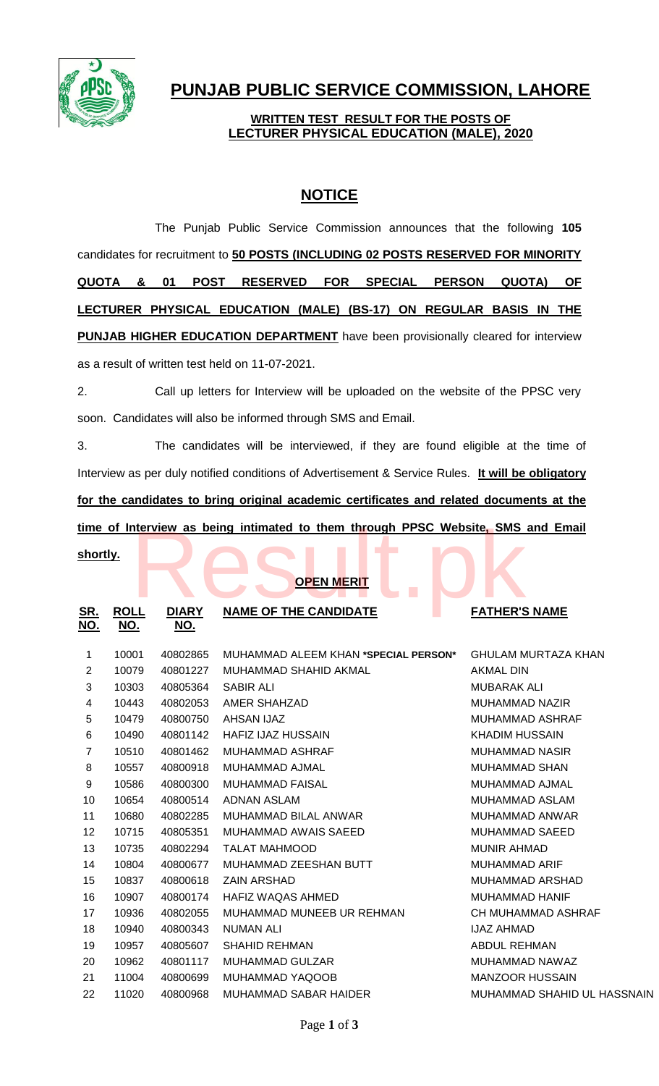

# **PUNJAB PUBLIC SERVICE COMMISSION, LAHORE**

### **WRITTEN TEST RESULT FOR THE POSTS OF LECTURER PHYSICAL EDUCATION (MALE), 2020**

## **NOTICE**

The Punjab Public Service Commission announces that the following **105** candidates for recruitment to **50 POSTS (INCLUDING 02 POSTS RESERVED FOR MINORITY QUOTA & 01 POST RESERVED FOR SPECIAL PERSON QUOTA) OF LECTURER PHYSICAL EDUCATION (MALE) (BS-17) ON REGULAR BASIS IN THE PUNJAB HIGHER EDUCATION DEPARTMENT** have been provisionally cleared for interview as a result of written test held on 11-07-2021.

2. Call up letters for Interview will be uploaded on the website of the PPSC very soon. Candidates will also be informed through SMS and Email.

3. The candidates will be interviewed, if they are found eligible at the time of Interview as per duly notified conditions of Advertisement & Service Rules. **It will be obligatory for the candidates to bring original academic certificates and related documents at the** 

| time of Interview as being intimated to them through PPSC Website, SMS and Email |                           |                            |                                       |                             |  |  |
|----------------------------------------------------------------------------------|---------------------------|----------------------------|---------------------------------------|-----------------------------|--|--|
| shortly.                                                                         |                           |                            | and the property<br><b>OPEN MERIT</b> |                             |  |  |
| <u>SR.</u><br><u>NO.</u>                                                         | <b>ROLL</b><br><u>NO.</u> | <b>DIARY</b><br><u>NO.</u> | <b>NAME OF THE CANDIDATE</b>          | <b>FATHER'S NAME</b>        |  |  |
| 1                                                                                | 10001                     | 40802865                   | MUHAMMAD ALEEM KHAN *SPECIAL PERSON*  | <b>GHULAM MURTAZA KHAN</b>  |  |  |
| $\overline{2}$                                                                   | 10079                     | 40801227                   | MUHAMMAD SHAHID AKMAL                 | <b>AKMAL DIN</b>            |  |  |
| 3                                                                                | 10303                     | 40805364                   | <b>SABIR ALI</b>                      | <b>MUBARAK ALI</b>          |  |  |
| 4                                                                                | 10443                     | 40802053                   | <b>AMER SHAHZAD</b>                   | MUHAMMAD NAZIR              |  |  |
| 5                                                                                | 10479                     | 40800750                   | <b>AHSAN IJAZ</b>                     | MUHAMMAD ASHRAF             |  |  |
| 6                                                                                | 10490                     | 40801142                   | <b>HAFIZ IJAZ HUSSAIN</b>             | <b>KHADIM HUSSAIN</b>       |  |  |
| $\overline{7}$                                                                   | 10510                     | 40801462                   | <b>MUHAMMAD ASHRAF</b>                | <b>MUHAMMAD NASIR</b>       |  |  |
| 8                                                                                | 10557                     | 40800918                   | MUHAMMAD AJMAL                        | <b>MUHAMMAD SHAN</b>        |  |  |
| $\boldsymbol{9}$                                                                 | 10586                     | 40800300                   | <b>MUHAMMAD FAISAL</b>                | MUHAMMAD AJMAL              |  |  |
| 10                                                                               | 10654                     | 40800514                   | <b>ADNAN ASLAM</b>                    | MUHAMMAD ASLAM              |  |  |
| 11                                                                               | 10680                     | 40802285                   | MUHAMMAD BILAL ANWAR                  | <b>MUHAMMAD ANWAR</b>       |  |  |
| 12                                                                               | 10715                     | 40805351                   | MUHAMMAD AWAIS SAEED                  | <b>MUHAMMAD SAEED</b>       |  |  |
| 13                                                                               | 10735                     | 40802294                   | <b>TALAT MAHMOOD</b>                  | <b>MUNIR AHMAD</b>          |  |  |
| 14                                                                               | 10804                     | 40800677                   | MUHAMMAD ZEESHAN BUTT                 | <b>MUHAMMAD ARIF</b>        |  |  |
| 15                                                                               | 10837                     | 40800618                   | <b>ZAIN ARSHAD</b>                    | MUHAMMAD ARSHAD             |  |  |
| 16                                                                               | 10907                     | 40800174                   | HAFIZ WAQAS AHMED                     | <b>MUHAMMAD HANIF</b>       |  |  |
| 17                                                                               | 10936                     | 40802055                   | MUHAMMAD MUNEEB UR REHMAN             | <b>CH MUHAMMAD ASHRAF</b>   |  |  |
| 18                                                                               | 10940                     | 40800343                   | <b>NUMAN ALI</b>                      | <b>IJAZ AHMAD</b>           |  |  |
| 19                                                                               | 10957                     | 40805607                   | <b>SHAHID REHMAN</b>                  | <b>ABDUL REHMAN</b>         |  |  |
| 20                                                                               | 10962                     | 40801117                   | MUHAMMAD GULZAR                       | MUHAMMAD NAWAZ              |  |  |
| 21                                                                               | 11004                     | 40800699                   | MUHAMMAD YAQOOB                       | <b>MANZOOR HUSSAIN</b>      |  |  |
| 22                                                                               | 11020                     | 40800968                   | <b>MUHAMMAD SABAR HAIDER</b>          | MUHAMMAD SHAHID UL HASSNAIN |  |  |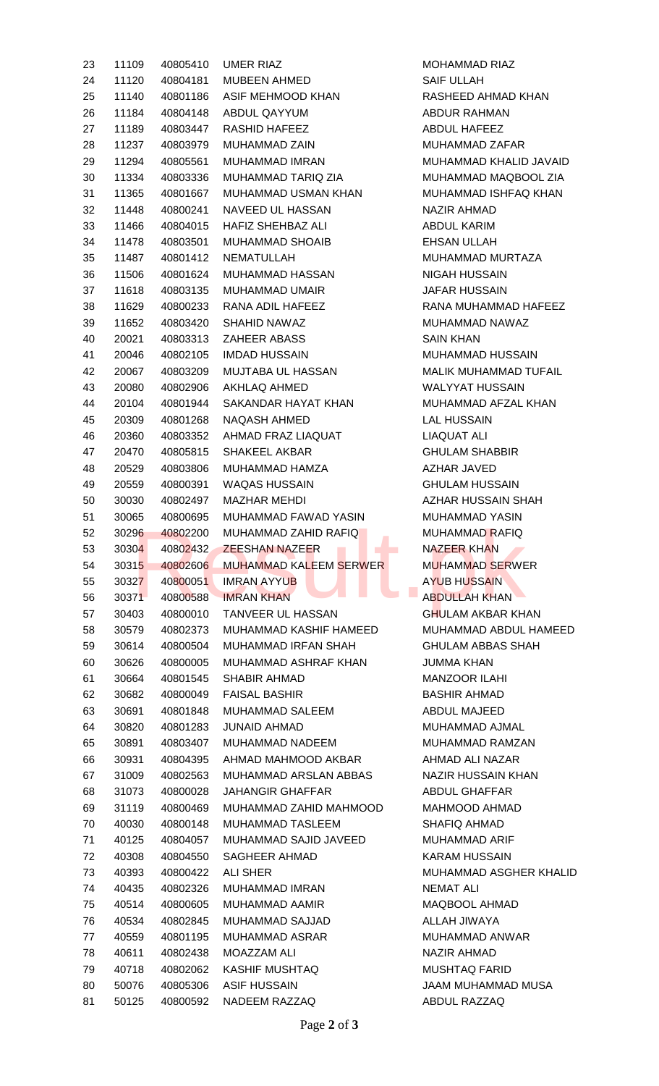| 23 | 11109 | 40805410 | UMER RIAZ                     | <b>MOHAMMAD RIAZ</b>          |
|----|-------|----------|-------------------------------|-------------------------------|
| 24 | 11120 | 40804181 | <b>MUBEEN AHMED</b>           | <b>SAIF ULLAH</b>             |
| 25 | 11140 | 40801186 | ASIF MEHMOOD KHAN             | RASHEED AHMAD KHAN            |
| 26 | 11184 | 40804148 | ABDUL QAYYUM                  | <b>ABDUR RAHMAN</b>           |
| 27 | 11189 | 40803447 | RASHID HAFEEZ                 | ABDUL HAFEEZ                  |
| 28 | 11237 | 40803979 | <b>MUHAMMAD ZAIN</b>          | MUHAMMAD ZAFAR                |
| 29 | 11294 | 40805561 | MUHAMMAD IMRAN                | MUHAMMAD KHALID JAVAID        |
| 30 | 11334 | 40803336 | MUHAMMAD TARIQ ZIA            | MUHAMMAD MAQBOOL ZIA          |
| 31 | 11365 | 40801667 | MUHAMMAD USMAN KHAN           | MUHAMMAD ISHFAQ KHAN          |
| 32 | 11448 | 40800241 | NAVEED UL HASSAN              | <b>NAZIR AHMAD</b>            |
| 33 | 11466 | 40804015 | HAFIZ SHEHBAZ ALI             | ABDUL KARIM                   |
| 34 |       |          | MUHAMMAD SHOAIB               | <b>EHSAN ULLAH</b>            |
|    | 11478 | 40803501 |                               |                               |
| 35 | 11487 | 40801412 | NEMATULLAH                    | MUHAMMAD MURTAZA              |
| 36 | 11506 | 40801624 | MUHAMMAD HASSAN               | <b>NIGAH HUSSAIN</b>          |
| 37 | 11618 | 40803135 | MUHAMMAD UMAIR                | <b>JAFAR HUSSAIN</b>          |
| 38 | 11629 | 40800233 | RANA ADIL HAFEEZ              | RANA MUHAMMAD HAFEEZ          |
| 39 | 11652 | 40803420 | SHAHID NAWAZ                  | MUHAMMAD NAWAZ                |
| 40 | 20021 | 40803313 | <b>ZAHEER ABASS</b>           | <b>SAIN KHAN</b>              |
| 41 | 20046 | 40802105 | <b>IMDAD HUSSAIN</b>          | <b>MUHAMMAD HUSSAIN</b>       |
| 42 | 20067 | 40803209 | MUJTABA UL HASSAN             | <b>MALIK MUHAMMAD TUFAIL</b>  |
| 43 | 20080 | 40802906 | AKHLAQ AHMED                  | <b>WALYYAT HUSSAIN</b>        |
| 44 | 20104 | 40801944 | SAKANDAR HAYAT KHAN           | MUHAMMAD AFZAL KHAN           |
| 45 | 20309 | 40801268 | NAQASH AHMED                  | <b>LAL HUSSAIN</b>            |
| 46 | 20360 | 40803352 | AHMAD FRAZ LIAQUAT            | <b>LIAQUAT ALI</b>            |
| 47 | 20470 | 40805815 | <b>SHAKEEL AKBAR</b>          | <b>GHULAM SHABBIR</b>         |
| 48 | 20529 | 40803806 | MUHAMMAD HAMZA                | AZHAR JAVED                   |
| 49 | 20559 | 40800391 | <b>WAQAS HUSSAIN</b>          | <b>GHULAM HUSSAIN</b>         |
| 50 | 30030 | 40802497 | <b>MAZHAR MEHDI</b>           | AZHAR HUSSAIN SHAH            |
| 51 | 30065 | 40800695 | MUHAMMAD FAWAD YASIN          | <b>MUHAMMAD YASIN</b>         |
| 52 | 30296 | 40802200 | MUHAMMAD ZAHID RAFIQ          | <b>MUHAMMAD RAFIQ</b>         |
| 53 | 30304 | 40802432 | <b>ZEESHAN NAZEER</b>         | <b>NAZEER KHAN</b>            |
| 54 | 30315 | 40802606 | <b>MUHAMMAD KALEEM SERWER</b> | <b>MUHAMMAD SERWER</b>        |
| 55 | 30327 | 40800051 | <b>IMRAN AYYUB</b>            | <b>AYUB HUSSAIN</b>           |
| 56 | 30371 | 40800588 | <b>IMRAN KHAN</b>             | <b>ABDULLAH KHAN</b>          |
| 57 | 30403 | 40800010 | TANVEER UL HASSAN             | <b>GHULAM AKBAR KHAN</b>      |
| 58 | 30579 | 40802373 | MUHAMMAD KASHIF HAMEED        | MUHAMMAD ABDUL HAMEED         |
| 59 | 30614 | 40800504 | MUHAMMAD IRFAN SHAH           | <b>GHULAM ABBAS SHAH</b>      |
|    |       | 40800005 | MUHAMMAD ASHRAF KHAN          |                               |
| 60 | 30626 |          |                               | <b>JUMMA KHAN</b>             |
| 61 | 30664 | 40801545 | SHABIR AHMAD                  | <b>MANZOOR ILAHI</b>          |
| 62 | 30682 | 40800049 | <b>FAISAL BASHIR</b>          | <b>BASHIR AHMAD</b>           |
| 63 | 30691 | 40801848 | MUHAMMAD SALEEM               | ABDUL MAJEED                  |
| 64 | 30820 | 40801283 | <b>JUNAID AHMAD</b>           | MUHAMMAD AJMAL                |
| 65 | 30891 | 40803407 | MUHAMMAD NADEEM               | MUHAMMAD RAMZAN               |
| 66 | 30931 | 40804395 | AHMAD MAHMOOD AKBAR           | AHMAD ALI NAZAR               |
| 67 | 31009 | 40802563 | MUHAMMAD ARSLAN ABBAS         | <b>NAZIR HUSSAIN KHAN</b>     |
| 68 | 31073 | 40800028 | <b>JAHANGIR GHAFFAR</b>       | <b>ABDUL GHAFFAR</b>          |
| 69 | 31119 | 40800469 | MUHAMMAD ZAHID MAHMOOD        | MAHMOOD AHMAD                 |
| 70 | 40030 | 40800148 | <b>MUHAMMAD TASLEEM</b>       | SHAFIQ AHMAD                  |
| 71 | 40125 | 40804057 | MUHAMMAD SAJID JAVEED         | <b>MUHAMMAD ARIF</b>          |
| 72 | 40308 | 40804550 | <b>SAGHEER AHMAD</b>          | <b>KARAM HUSSAIN</b>          |
| 73 | 40393 | 40800422 | <b>ALI SHER</b>               | <b>MUHAMMAD ASGHER KHALID</b> |
| 74 | 40435 | 40802326 | <b>MUHAMMAD IMRAN</b>         | NEMAT ALI                     |
| 75 | 40514 | 40800605 | <b>MUHAMMAD AAMIR</b>         | MAQBOOL AHMAD                 |
| 76 | 40534 | 40802845 | <b>MUHAMMAD SAJJAD</b>        | <b>ALLAH JIWAYA</b>           |
| 77 | 40559 | 40801195 | <b>MUHAMMAD ASRAR</b>         | <b>MUHAMMAD ANWAR</b>         |
| 78 | 40611 | 40802438 | MOAZZAM ALI                   | <b>NAZIR AHMAD</b>            |
| 79 | 40718 | 40802062 | <b>KASHIF MUSHTAQ</b>         | <b>MUSHTAQ FARID</b>          |
| 80 | 50076 | 40805306 | <b>ASIF HUSSAIN</b>           | JAAM MUHAMMAD MUSA            |
| 81 | 50125 | 40800592 | NADEEM RAZZAQ                 | ABDUL RAZZAQ                  |
|    |       |          |                               |                               |